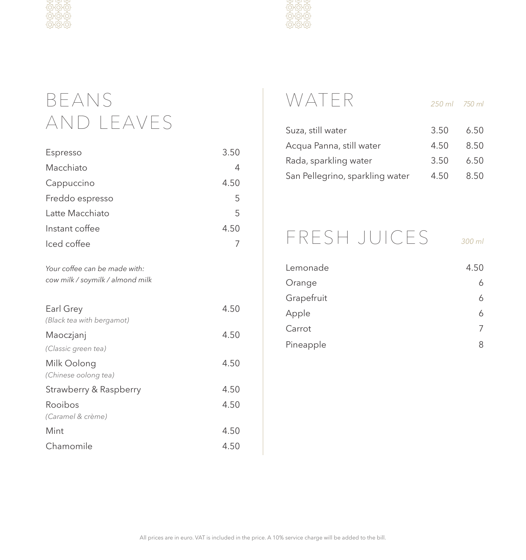

# BEANS AND LEAVES

| Espresso                                                          | 3.50 |
|-------------------------------------------------------------------|------|
| Macchiato                                                         | 4    |
| Cappuccino                                                        | 4.50 |
| Freddo espresso                                                   | 5    |
| Latte Macchiato                                                   | 5    |
| Instant coffee                                                    | 4.50 |
| Iced coffee                                                       | 7    |
| Your coffee can be made with:<br>cow milk / soymilk / almond milk |      |
| Earl Grey<br>(Black tea with bergamot)                            | 4.50 |
| Maoczjanj                                                         | 4.50 |
| (Classic green tea)                                               |      |
| Milk Oolong<br>(Chinese oolong tea)                               | 4.50 |
| Strawberry & Raspberry                                            | 4.50 |
| Rooibos<br>(Caramel & crème)                                      | 4.50 |
| Mint                                                              | 4.50 |
| Chamomile                                                         | 4.50 |



# WATER *250 ml 750 ml*

| 50 ml | 750 ml |  |
|-------|--------|--|

| Suza, still water               | 3.50 | 6.50 |
|---------------------------------|------|------|
| Acqua Panna, still water        | 4.50 | 8.50 |
| Rada, sparkling water           | 3.50 | 6.50 |
| San Pellegrino, sparkling water | 4.50 | 8.50 |

## FRESH JUICES *300 ml*

| Lemonade   | 4.50 |
|------------|------|
| Orange     | 6    |
| Grapefruit |      |
| Apple      |      |
| Carrot     |      |
| Pineapple  | 8    |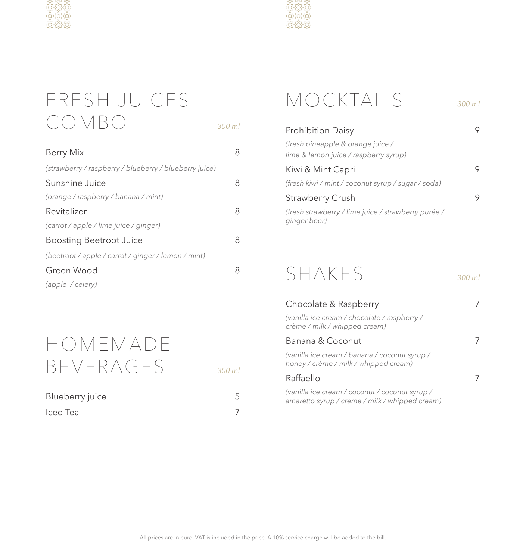



# FRESH JUICES COMBO *300 ml*

| <b>Berry Mix</b>                                       | 8 |
|--------------------------------------------------------|---|
| (strawberry / raspberry / blueberry / blueberry juice) |   |
| Sunshine Juice                                         | 8 |
| (orange / raspberry / banana / mint)                   |   |
| Revitalizer                                            | 8 |
| (carrot / apple / lime juice / ginger)                 |   |
| <b>Boosting Beetroot Juice</b>                         | 8 |
| (beetroot/apple/carrot/ginger/lemon/mint)              |   |
| Green Wood                                             | 8 |
| (apple / celery)                                       |   |

## HOMEMADE BEVERAGES *300 ml*

| н.<br>- |
|---------|
|         |

| Blueberry juice |  |
|-----------------|--|
| Iced Tea        |  |

# MOCKTAILS *300 ml*

| <b>Prohibition Daisy</b>                                                   | 9 |
|----------------------------------------------------------------------------|---|
| (fresh pineapple & orange juice /<br>lime & lemon juice / raspberry syrup) |   |
| Kiwi & Mint Capri                                                          | 9 |
| (fresh kiwi / mint / coconut syrup / sugar / soda)                         |   |
| Strawberry Crush                                                           | 9 |
| (fresh strawberry / lime juice / strawberry purée /<br>ginger beer)        |   |
|                                                                            |   |

## SHAKES *300 ml*

Chocolate & Raspberry 7 *(vanilla ice cream / chocolate / raspberry / crème / milk / whipped cream)* Banana & Coconut 7 *(vanilla ice cream / banana / coconut syrup / honey / crème / milk / whipped cream)* Raffaello 7 *(vanilla ice cream / coconut / coconut syrup / amaretto syrup / crème / milk / whipped cream)*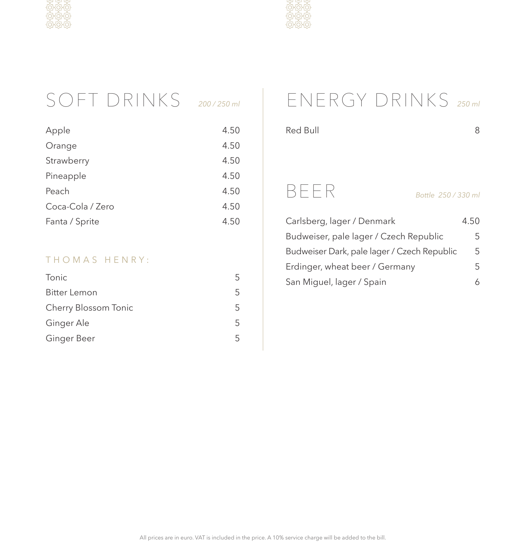



# SOFT DRINKS *200 / 250 ml*

| Apple            | 4.50 |
|------------------|------|
| Orange           | 4.50 |
| Strawberry       | 4.50 |
| Pineapple        | 4.50 |
| Peach            | 4.50 |
| Coca-Cola / Zero | 4.50 |
| Fanta / Sprite   | 4.50 |
|                  |      |

#### THOMAS HENRY:

| Tonic                | 5 |
|----------------------|---|
| Bitter Lemon         | 5 |
| Cherry Blossom Tonic | 5 |
| Ginger Ale           | 5 |
| Ginger Beer          | 5 |

# ENERGY DRINKS *250 ml*

| Red Bull                                    |                     | 8    |
|---------------------------------------------|---------------------|------|
|                                             |                     |      |
|                                             |                     |      |
|                                             |                     |      |
| BEER                                        | Bottle 250 / 330 ml |      |
| Carlsberg, lager / Denmark                  |                     | 4.50 |
| Budweiser, pale lager / Czech Republic      |                     | 5    |
| Budweiser Dark, pale lager / Czech Republic |                     | 5    |
| Erdinger, wheat beer / Germany              |                     | 5    |
| San Miguel, lager / Spain                   |                     | 6    |
|                                             |                     |      |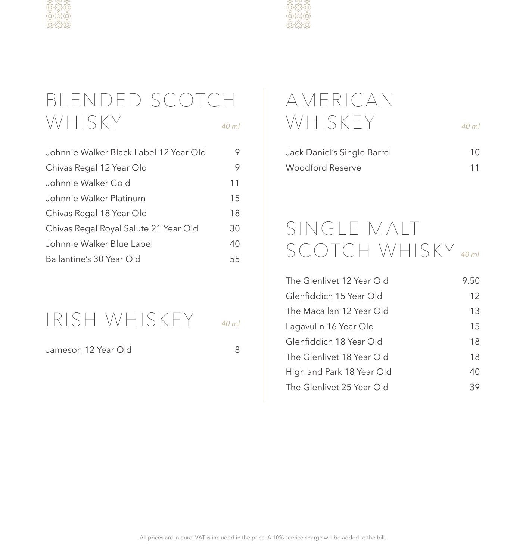

## BLENDED SCOTCH WHISKY

|  | ł |
|--|---|

| Johnnie Walker Black Label 12 Year Old | 9  |
|----------------------------------------|----|
| Chivas Regal 12 Year Old               | 9  |
| Johnnie Walker Gold                    | 11 |
| Johnnie Walker Platinum                | 15 |
| Chivas Regal 18 Year Old               | 18 |
| Chivas Regal Royal Salute 21 Year Old  | 30 |
| Johnnie Walker Blue Label              | 40 |
| Ballantine's 30 Year Old               | 55 |

## IRISH WHISKEY *40 ml*

Jameson 12 Year Old 8



# AMERICAN WHISKEY *40 ml*

| Jack Daniel's Single Barrel | 10 |
|-----------------------------|----|
| Woodford Reserve            | 11 |

## SINGLE MALT SCOTCH WHISKY *40 ml*

| The Glenlivet 12 Year Old | 9.50 |
|---------------------------|------|
| Glenfiddich 15 Year Old   | 12   |
| The Macallan 12 Year Old  | 13   |
| Lagavulin 16 Year Old     | 15   |
| Glenfiddich 18 Year Old   | 18   |
| The Glenlivet 18 Year Old | 18   |
| Highland Park 18 Year Old | 40   |
| The Glenlivet 25 Year Old | 39   |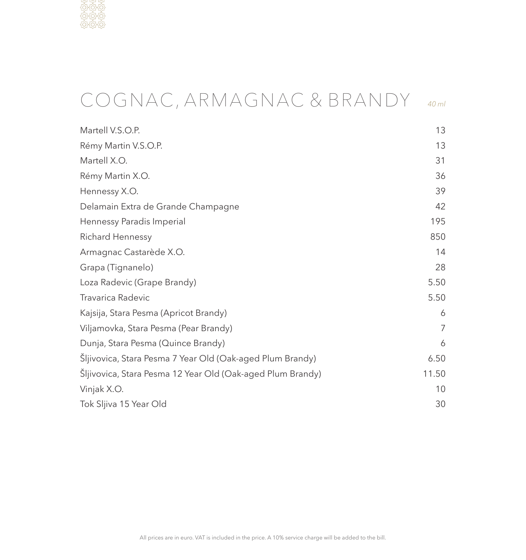

# COGNAC, ARMAGNAC & BRANDY *40 ml*

| Martell V.S.O.P.                                           | 13             |
|------------------------------------------------------------|----------------|
| Rémy Martin V.S.O.P.                                       | 13             |
| Martell X.O.                                               | 31             |
| Rémy Martin X.O.                                           | 36             |
| Hennessy X.O.                                              | 39             |
| Delamain Extra de Grande Champagne                         | 42             |
| Hennessy Paradis Imperial                                  | 195            |
| Richard Hennessy                                           | 850            |
| Armagnac Castarède X.O.                                    | 14             |
| Grapa (Tignanelo)                                          | 28             |
| Loza Radevic (Grape Brandy)                                | 5.50           |
| Travarica Radevic                                          | 5.50           |
| Kajsija, Stara Pesma (Apricot Brandy)                      | 6              |
| Viljamovka, Stara Pesma (Pear Brandy)                      | $\overline{7}$ |
| Dunja, Stara Pesma (Quince Brandy)                         | 6              |
| Šljivovica, Stara Pesma 7 Year Old (Oak-aged Plum Brandy)  | 6.50           |
| Šljivovica, Stara Pesma 12 Year Old (Oak-aged Plum Brandy) | 11.50          |
| Vinjak X.O.                                                | 10             |
| Tok Sljiva 15 Year Old                                     | 30             |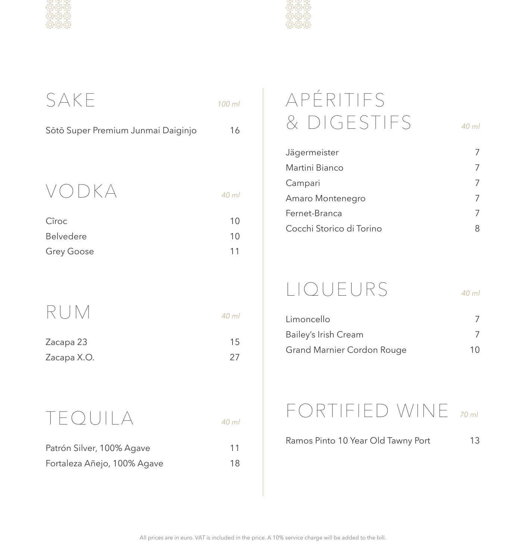



| SAKE                               | 100 ml |
|------------------------------------|--------|
| Sōtō Super Premium Junmai Daiginjo | 16     |
|                                    |        |
| VODKA                              | 40 ml  |
| Cîroc                              | 10     |
| Belvedere                          | 10     |
| Grey Goose                         | 11     |
|                                    |        |
|                                    |        |
| RUM                                | 40 ml  |
| Zacapa 23                          | 15     |
| Zacapa X.O.                        | 27     |
|                                    |        |

TEQUILA *40 ml*

| Patrón Silver, 100% Agave   | 11 |
|-----------------------------|----|
| Fortaleza Añejo, 100% Agave | 18 |

# APÉRITIFS & DIGESTIFS *40 ml*

| Jägermeister             |   |
|--------------------------|---|
| Martini Bianco           | 7 |
| Campari                  | 7 |
| Amaro Montenegro         |   |
| Fernet-Branca            | 7 |
| Cocchi Storico di Torino | 8 |

# LIQUEURS *40 ml*

| Limoncello                 |    |
|----------------------------|----|
| Bailey's Irish Cream       |    |
| Grand Marnier Cordon Rouge | 10 |

### FORTIFIED WINE *70 ml*

Ramos Pinto 10 Year Old Tawny Port 13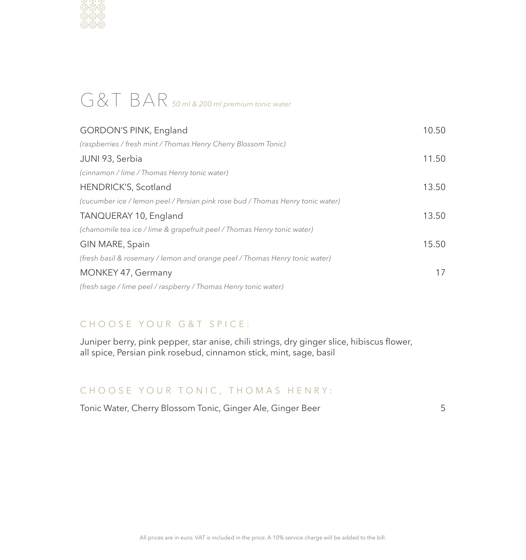

## G&T BAR *50 ml & 200 ml premium tonic water*

| GORDON'S PINK, England                                                         | 10.50 |
|--------------------------------------------------------------------------------|-------|
| (raspberries / fresh mint / Thomas Henry Cherry Blossom Tonic)                 |       |
| JUNI 93, Serbia                                                                | 11.50 |
| (cinnamon / lime / Thomas Henry tonic water)                                   |       |
| HENDRICK'S, Scotland                                                           | 13.50 |
| (cucumber ice / lemon peel / Persian pink rose bud / Thomas Henry tonic water) |       |
| TANQUERAY 10, England                                                          | 13.50 |
| (chamomile tea ice / lime & grapefruit peel / Thomas Henry tonic water)        |       |
| GIN MARE, Spain                                                                | 15.50 |
| (fresh basil & rosemary / lemon and orange peel / Thomas Henry tonic water)    |       |
| MONKEY 47, Germany                                                             | 17    |
| (fresh sage / lime peel / raspberry / Thomas Henry tonic water)                |       |

#### CHOOSE YOUR G&T SPICE:

Juniper berry, pink pepper, star anise, chili strings, dry ginger slice, hibiscus flower, all spice, Persian pink rosebud, cinnamon stick, mint, sage, basil

#### CHOOSE YOUR TONIC, THOMAS HENRY:

Tonic Water, Cherry Blossom Tonic, Ginger Ale, Ginger Beer 5